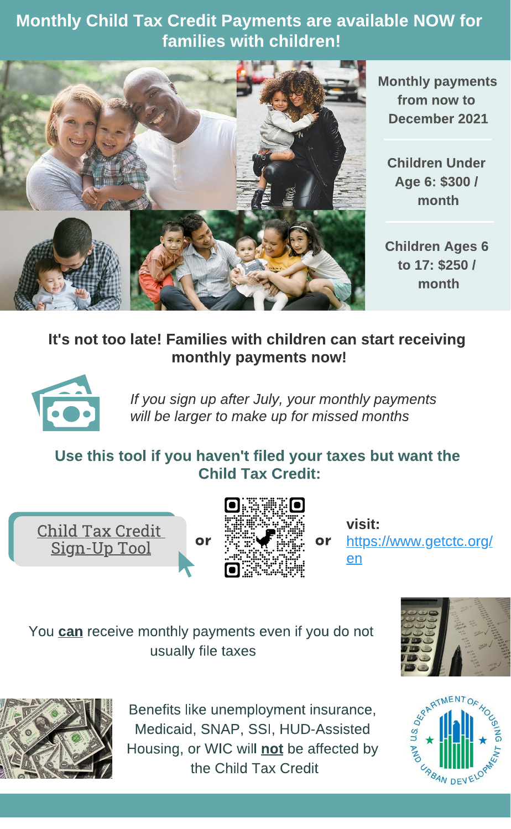Monthly Child Tax Credit Payments are available NOW for families with children!



Monthly payments from now to from now to December 2021 December 2021

**Children Under** Children Under Age 6: \$300 / month . . . . . . . . .

Children Ages 6 to 17: \$250 / to 17: \$250 / month . . . . . . . . . .

## It's not too late! Families with children can start receiving monthly payments now!



If you sign up after July, your monthly payments will be larger to make up for missed months

## Use this tool if you haven't filed your taxes but want the Child Tax Credit:





 $\cdots$ [https://www.getctc.org/](https://www.getctc.org/en) en

You **can** receive monthly payments even if you do not usually file taxes





Benefits like unemployment insurance, Medicaid, SNAP, SSI, HUD-Assisted Housing, or WIC will not be affected by the Child Tax Credit